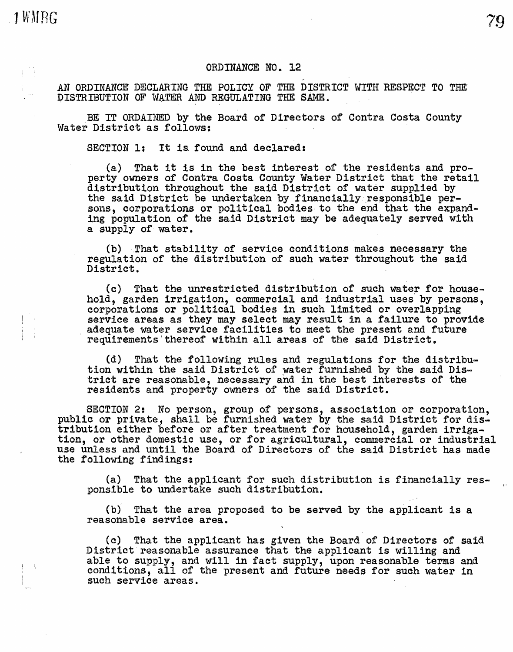1 WMRG

## ORDINANCE NO. 12

AN ORDINANCE DECLARING THE POLICY OF THE DISTRICT WITH RESPECT TO THE DISTRIBUTION OF WATER AND REGULATING THE SAME.

BE IT ORDAINED by the Board of Directors of Contra Costa County Water District as follows:

SECTION 1: It is found and declared:

(a) That it is in the best interest of the residents and property owners of Contra Costa County Water District that the retail distribution throughout the said District of water supplied by the said District be undertaken by financially responsible persons, corporations or political bodies to the end that the expand-<br>ing population of the said District may be adequately served with a supply of water.

79

(b) That stability of service conditions makes necessary the regulation of the distribution of such water throughout the said District.

(c) That the unrestricted distribution of such water for household, garden irrigation, commercial and industrial uses by persons, corporations or political bodies in such limited or overlapping service areas as they may select may result in a failure to provide adequate water service adequate water service racificies to meet the present and it

(d) That the following rules and regulations for the distribution within the said District of water furnished by the said District are reasonable, necessary and in the best interests of the residents and property owners of the said District.

SECTION 2: No person, group of persons, association or corporation, public or private, shall be furnished water by the said District for distribution either before or after treatment for household, garden irriga- tion, or other domestic use, or for agricultural, commercial or industrial use unless and until the Board of Directors or the said District has made the following findings:

(a) That the applicant for such distribution is financially responsible to undertake such distribution.

(b)' That the area proposed to be served by the applicant is a reasonable service area.

(c) That the applicant has given the Board of Directors of said District reasonable assurance that the applicant is willing and able to supply, and will in fact supply, upon reasonable terms and able to supply, and will in fact supply, upon reasonable terms and conditions, all of the present and future needs for such water in such service areas.